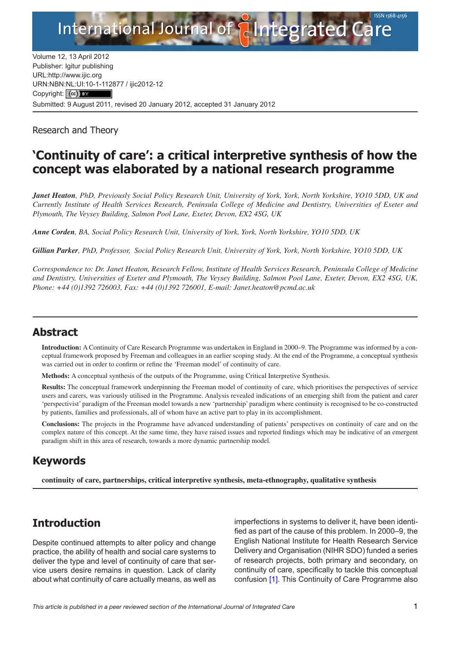

Volume 12, 13 April 2012 Publisher: Igitur publishing [URL:http://www.ijic.org](http://www.ijic.org) URN:NBN[:NL:UI:10-1-1128](http://creativecommons.org/licenses/by/3.0/)77 / ijic2012-12 Copyright: (cc) BY Submitted: 9 August 2011, revised 20 January 2012, accepted 31 January 2012

Research and Theory

# **'Continuity of care': a critical interpretive synthesis of how the concept was elaborated by a national research programme**

*Janet Heaton, PhD, Previously Social Policy Research Unit, University of York, York, North Yorkshire, YO10 5DD, UK and Currently Institute of Health Services Research, Peninsula College of Medicine and Dentistry, Universities of Exeter and Plymouth, The Veysey Building, Salmon Pool Lane, Exeter, Devon, EX2 4SG, UK*

*Anne Corden, BA, Social Policy Research Unit, University of York, York, North Yorkshire, YO10 5DD, UK*

*Gillian Parker, PhD, Professor, Social Policy Research Unit, University of York, York, North Yorkshire, YO10 5DD, UK*

*Correspondence to: Dr. Janet Heaton, Research Fellow, Institute of Health Services Research, Peninsula College of Medicine and Dentistry, Universities of Exeter and Plymouth, The Veysey Building, Salmon Pool Lane, Exeter, Devon, EX2 4SG, UK, Phone: +44 (0)1392 726003, Fax: +44 (0)1392 726001, E-mail: [Janet.heaton@pcmd.ac.uk](mailto:Janet.heaton@pcmd.ac.uk)*

## **Abstract**

**Introduction:** A Continuity of Care Research Programme was undertaken in England in 2000–9. The Programme was informed by a conceptual framework proposed by Freeman and colleagues in an earlier scoping study. At the end of the Programme, a conceptual synthesis was carried out in order to confirm or refine the 'Freeman model' of continuity of care.

**Methods:** A conceptual synthesis of the outputs of the Programme, using Critical Interpretive Synthesis.

**Results:** The conceptual framework underpinning the Freeman model of continuity of care, which prioritises the perspectives of service users and carers, was variously utilised in the Programme. Analysis revealed indications of an emerging shift from the patient and carer 'perspectivist' paradigm of the Freeman model towards a new 'partnership' paradigm where continuity is recognised to be co-constructed by patients, families and professionals, all of whom have an active part to play in its accomplishment.

**Conclusions:** The projects in the Programme have advanced understanding of patients' perspectives on continuity of care and on the complex nature of this concept. At the same time, they have raised issues and reported findings which may be indicative of an emergent paradigm shift in this area of research, towards a more dynamic partnership model.

# **Keywords**

**continuity of care, partnerships, critical interpretive synthesis, meta-ethnography, qualitative synthesis**

# **Introduction**

Despite continued attempts to alter policy and change practice, the ability of health and social care systems to deliver the type and level of continuity of care that service users desire remains in question. Lack of clarity about what continuity of care actually means, as well as

imperfections in systems to deliver it, have been identified as part of the cause of this problem. In 2000–9, the English National Institute for Health Research Service Delivery and Organisation (NIHR SDO) funded a series of research projects, both primary and secondary, on continuity of care, specifically to tackle this conceptual confusion [\[1\].](#page-7-0) This Continuity of Care Programme also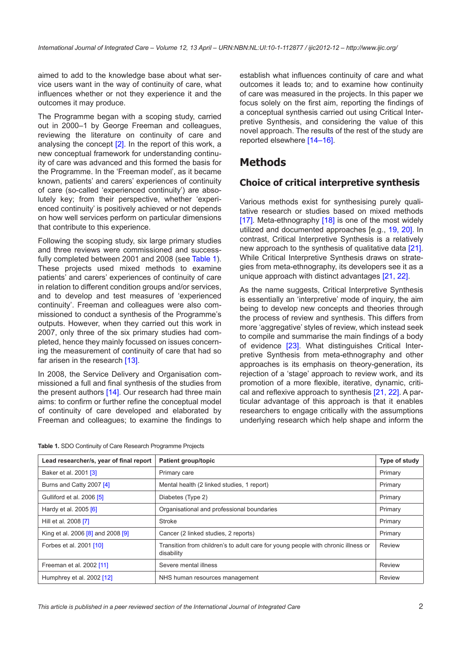aimed to add to the knowledge base about what service users want in the way of continuity of care, what influences whether or not they experience it and the outcomes it may produce.

The Programme began with a scoping study, carried out in 2000–1 by George Freeman and colleagues, reviewing the literature on continuity of care and analysing the concept  $[2]$ . In the report of this work, a new conceptual framework for understanding continuity of care was advanced and this formed the basis for the Programme. In the 'Freeman model', as it became known, patients' and carers' experiences of continuity of care (so-called 'experienced continuity') are absolutely key; from their perspective, whether 'experienced continuity' is positively achieved or not depends on how well services perform on particular dimensions that contribute to this experience.

Following the scoping study, six large primary studies and three reviews were commissioned and success-fully completed between 2001 and 2008 (see [Table 1](#page-7-0)). These projects used mixed methods to examine patients' and carers' experiences of continuity of care in relation to different condition groups and/or services, and to develop and test measures of 'experienced continuity'. Freeman and colleagues were also commissioned to conduct a synthesis of the Programme's outputs. However, when they carried out this work in 2007, only three of the six primary studies had completed, hence they mainly focussed on issues concerning the measurement of continuity of care that had so far arisen in the research [\[13\].](#page-8-0)

In 2008, the Service Delivery and Organisation commissioned a full and final synthesis of the studies from the present authors [\[14\]](#page-8-0). Our research had three main aims: to confirm or further refine the conceptual model of continuity of care developed and elaborated by Freeman and colleagues; to examine the findings to

establish what influences continuity of care and what outcomes it leads to; and to examine how continuity of care was measured in the projects. In this paper we focus solely on the first aim, reporting the findings of a conceptual synthesis carried out using Critical Interpretive Synthesis, and considering the value of this novel approach. The results of the rest of the study are reported elsewhere [\[14–](#page-8-0)[16\].](#page-8-0)

## **Methods**

### **Choice of critical interpretive synthesis**

Various methods exist for synthesising purely qualitative research or studies based on mixed methods [\[17\].](#page-8-0) Meta-ethnography [\[18\]](#page-8-0) is one of the most widely utilized and documented approaches [e.g., [19,](#page-8-0) [20\]](#page-8-0). In contrast, Critical Interpretive Synthesis is a relatively new approach to the synthesis of qualitative data [\[21\].](#page-8-0) While Critical Interpretive Synthesis draws on strategies from meta-ethnography, its developers see it as a unique approach with distinct advantages [\[21,](#page-8-0) [22\].](#page-8-0)

As the name suggests, Critical Interpretive Synthesis is essentially an 'interpretive' mode of inquiry, the aim being to develop new concepts and theories through the process of review and synthesis. This differs from more 'aggregative' styles of review, which instead seek to compile and summarise the main findings of a body of evidence [\[23\]](#page-8-0). What distinguishes Critical Interpretive Synthesis from meta-ethnography and other approaches is its emphasis on theory-generation, its rejection of a 'stage' approach to review work, and its promotion of a more flexible, iterative, dynamic, critical and reflexive approach to synthesis [\[21,](#page-8-0) [22\]](#page-8-0). A particular advantage of this approach is that it enables researchers to engage critically with the assumptions underlying research which help shape and inform the

|  |  |  |  |  | <b>Table 1.</b> SDO Continuity of Care Research Programme Projects |  |
|--|--|--|--|--|--------------------------------------------------------------------|--|
|--|--|--|--|--|--------------------------------------------------------------------|--|

| Lead researcher/s, year of final report | Patient group/topic                                                                             | Type of study |
|-----------------------------------------|-------------------------------------------------------------------------------------------------|---------------|
| Baker et al. 2001 [3]                   | Primary care                                                                                    | Primary       |
| Burns and Catty 2007 [4]                | Mental health (2 linked studies, 1 report)                                                      | Primary       |
| Gulliford et al. 2006 [5]               | Diabetes (Type 2)                                                                               | Primary       |
| Hardy et al. 2005 [6]                   | Organisational and professional boundaries                                                      | Primary       |
| Hill et al. 2008 [7]                    | <b>Stroke</b>                                                                                   | Primary       |
| King et al. 2006 [8] and 2008 [9]       | Cancer (2 linked studies, 2 reports)                                                            | Primary       |
| Forbes et al. 2001 [10]                 | Transition from children's to adult care for young people with chronic illness or<br>disability | Review        |
| Freeman et al. 2002 [11]                | Severe mental illness                                                                           | Review        |
| Humphrey et al. 2002 [12]               | NHS human resources management                                                                  | <b>Review</b> |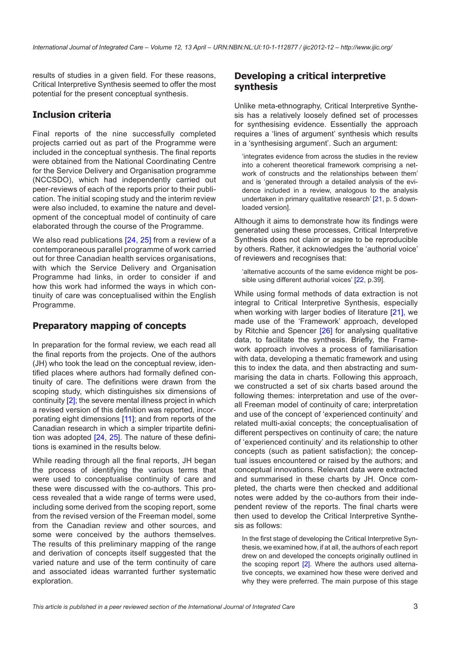results of studies in a given field. For these reasons, Critical Interpretive Synthesis seemed to offer the most potential for the present conceptual synthesis.

### **Inclusion criteria**

Final reports of the nine successfully completed projects carried out as part of the Programme were included in the conceptual synthesis. The final reports were obtained from the National Coordinating Centre for the Service Delivery and Organisation programme (NCCSDO), which had independently carried out peer-reviews of each of the reports prior to their publication. The initial scoping study and the interim review were also included, to examine the nature and development of the conceptual model of continuity of care elaborated through the course of the Programme.

We also read publications [\[24,](#page-8-0) [25\]](#page-8-0) from a review of a contemporaneous parallel programme of work carried out for three Canadian health services organisations, with which the Service Delivery and Organisation Programme had links, in order to consider if and how this work had informed the ways in which continuity of care was conceptualised within the English Programme.

### **Preparatory mapping of concepts**

In preparation for the formal review, we each read all the final reports from the projects. One of the authors (JH) who took the lead on the conceptual review, identified places where authors had formally defined continuity of care. The definitions were drawn from the scoping study, which distinguishes six dimensions of continuity [\[2\]](#page-7-0); the severe mental illness project in which a revised version of this definition was reported, incorporating eight dimensions [\[11\]](#page-8-0); and from reports of the Canadian research in which a simpler tripartite definition was adopted [\[24,](#page-8-0) [25\]](#page-8-0). The nature of these definitions is examined in the results below.

While reading through all the final reports, JH began the process of identifying the various terms that were used to conceptualise continuity of care and these were discussed with the co-authors. This process revealed that a wide range of terms were used, including some derived from the scoping report, some from the revised version of the Freeman model, some from the Canadian review and other sources, and some were conceived by the authors themselves. The results of this preliminary mapping of the range and derivation of concepts itself suggested that the varied nature and use of the term continuity of care and associated ideas warranted further systematic exploration.

### **Developing a critical interpretive synthesis**

Unlike meta-ethnography, Critical Interpretive Synthesis has a relatively loosely defined set of processes for synthesising evidence. Essentially the approach requires a 'lines of argument' synthesis which results in a 'synthesising argument'. Such an argument:

'integrates evidence from across the studies in the review into a coherent theoretical framework comprising a network of constructs and the relationships between them' and is 'generated through a detailed analysis of the evidence included in a review, analogous to the analysis undertaken in primary qualitative research' [\[21](#page-8-0), p. 5 downloaded version].

Although it aims to demonstrate how its findings were generated using these processes, Critical Interpretive Synthesis does not claim or aspire to be reproducible by others. Rather, it acknowledges the 'authorial voice' of reviewers and recognises that:

'alternative accounts of the same evidence might be possible using different authorial voices' [\[22](#page-8-0), p.39].

While using formal methods of data extraction is not integral to Critical Interpretive Synthesis, especially when working with larger bodies of literature [\[21\],](#page-8-0) we made use of the 'Framework' approach, developed by Ritchie and Spencer [\[26\]](#page-8-0) for analysing qualitative data, to facilitate the synthesis. Briefly, the Framework approach involves a process of familiarisation with data, developing a thematic framework and using this to index the data, and then abstracting and summarising the data in charts. Following this approach, we constructed a set of six charts based around the following themes: interpretation and use of the overall Freeman model of continuity of care; interpretation and use of the concept of 'experienced continuity' and related multi-axial concepts; the conceptualisation of different perspectives on continuity of care; the nature of 'experienced continuity' and its relationship to other concepts (such as patient satisfaction); the conceptual issues encountered or raised by the authors; and conceptual innovations. Relevant data were extracted and summarised in these charts by JH. Once completed, the charts were then checked and additional notes were added by the co-authors from their independent review of the reports. The final charts were then used to develop the Critical Interpretive Synthesis as follows:

In the first stage of developing the Critical Interpretive Synthesis, we examined how, if at all, the authors of each report drew on and developed the concepts originally outlined in the scoping report [\[2\].](#page-7-0) Where the authors used alternative concepts, we examined how these were derived and why they were preferred. The main purpose of this stage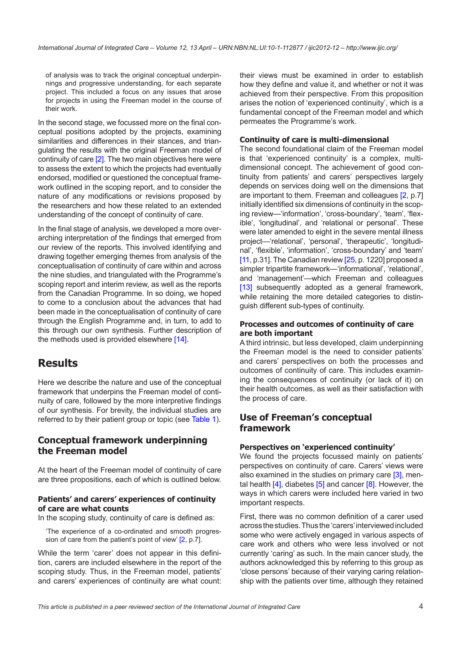of analysis was to track the original conceptual underpinnings and progressive understanding, for each separate project. This included a focus on any issues that arose for projects in using the Freeman model in the course of their work.

In the second stage, we focussed more on the final conceptual positions adopted by the projects, examining similarities and differences in their stances, and triangulating the results with the original Freeman model of continuity of care [\[2\]](#page-7-0). The two main objectives here were to assess the extent to which the projects had eventually endorsed, modified or questioned the conceptual framework outlined in the scoping report, and to consider the nature of any modifications or revisions proposed by the researchers and how these related to an extended understanding of the concept of continuity of care.

In the final stage of analysis, we developed a more overarching interpretation of the findings that emerged from our review of the reports. This involved identifying and drawing together emerging themes from analysis of the conceptualisation of continuity of care within and across the nine studies, and triangulated with the Programme's scoping report and interim review, as well as the reports from the Canadian Programme. In so doing, we hoped to come to a conclusion about the advances that had been made in the conceptualisation of continuity of care through the English Programme and, in turn, to add to this through our own synthesis. Further description of the methods used is provided elsewhere [\[14\].](#page-8-0)

## **Results**

Here we describe the nature and use of the conceptual framework that underpins the Freeman model of continuity of care, followed by the more interpretive findings of our synthesis. For brevity, the individual studies are referred to by their patient group or topic (see [Table 1](#page-7-0)).

### **Conceptual framework underpinning the Freeman model**

At the heart of the Freeman model of continuity of care are three propositions, each of which is outlined below.

### **Patients' and carers' experiences of continuity of care are what counts**

In the scoping study, continuity of care is defined as:

'The experience of a co-ordinated and smooth progres-sion of care from the patient's point of view' [\[2,](#page-7-0) p.7].

While the term 'carer' does not appear in this definition, carers are included elsewhere in the report of the scoping study. Thus, in the Freeman model, patients' and carers' experiences of continuity are what count:

their views must be examined in order to establish how they define and value it, and whether or not it was achieved from their perspective. From this proposition arises the notion of 'experienced continuity', which is a fundamental concept of the Freeman model and which permeates the Programme's work.

#### **Continuity of care is multi-dimensional**

The second foundational claim of the Freeman model is that 'experienced continuity' is a complex, multidimensional concept. The achievement of good continuity from patients' and carers' perspectives largely depends on services doing well on the dimensions that are important to them. Freeman and colleagues [\[2,](#page-7-0) p.7] initially identified six dimensions of continuity in the scoping review—'information', 'cross-boundary', 'team', 'flexible', 'longitudinal', and 'relational or personal'. These were later amended to eight in the severe mental illness project—'relational', 'personal', 'therapeutic', 'longitudinal', 'flexible', 'information', 'cross-boundary' and 'team'  $[11, p.31]$  $[11, p.31]$ . The Canadian review  $[25, p. 1220]$  proposed a simpler tripartite framework—'informational', 'relational', and 'management'—which Freeman and colleagues [\[13\]](#page-8-0) subsequently adopted as a general framework, while retaining the more detailed categories to distinguish different sub-types of continuity.

#### **Processes and outcomes of continuity of care are both important**

A third intrinsic, but less developed, claim underpinning the Freeman model is the need to consider patients' and carers' perspectives on both the processes and outcomes of continuity of care. This includes examining the consequences of continuity (or lack of it) on their health outcomes, as well as their satisfaction with the process of care.

### **Use of Freeman's conceptual framework**

#### **Perspectives on 'experienced continuity'**

We found the projects focussed mainly on patients' perspectives on continuity of care. Carers' views were also examined in the studies on primary care [\[3\],](#page-7-0) mental health  $[4]$ , diabetes  $[5]$  and cancer  $[8]$ . However, the ways in which carers were included here varied in two important respects.

First, there was no common definition of a carer used across the studies. Thus the 'carers' interviewed included some who were actively engaged in various aspects of care work and others who were less involved or not currently 'caring' as such. In the main cancer study, the authors acknowledged this by referring to this group as 'close persons' because of their varying caring relationship with the patients over time, although they retained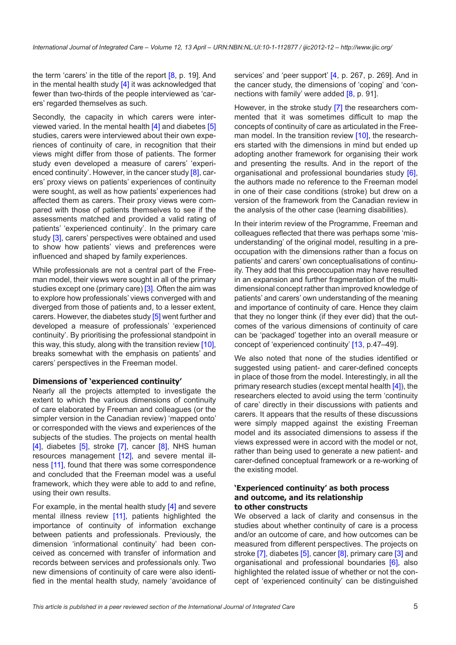the term 'carers' in the title of the report [\[8](#page-8-0), p. 19]. And in the mental health study  $[4]$  it was acknowledged that fewer than two-thirds of the people interviewed as 'carers' regarded themselves as such.

Secondly, the capacity in which carers were interviewed varied. In the mental health [\[4\]](#page-8-0) and diabetes [\[5\]](#page-8-0) studies, carers were interviewed about their own experiences of continuity of care, in recognition that their views might differ from those of patients. The former study even developed a measure of carers' 'experienced continuity'. However, in the cancer study [\[8\]](#page-8-0), carers' proxy views on patients' experiences of continuity were sought, as well as how patients' experiences had affected them as carers. Their proxy views were compared with those of patients themselves to see if the assessments matched and provided a valid rating of patients' 'experienced continuity'. In the primary care study [\[3\]](#page-7-0), carers' perspectives were obtained and used to show how patients' views and preferences were influenced and shaped by family experiences.

While professionals are not a central part of the Freeman model, their views were sought in all of the primary studies except one (primary care) [\[3\].](#page-7-0) Often the aim was to explore how professionals' views converged with and diverged from those of patients and, to a lesser extent, carers. However, the diabetes study [\[5\]](#page-8-0) went further and developed a measure of professionals' 'experienced continuity'. By prioritising the professional standpoint in this way, this study, along with the transition review [\[10\]](#page-8-0), breaks somewhat with the emphasis on patients' and carers' perspectives in the Freeman model.

#### **Dimensions of 'experienced continuity'**

Nearly all the projects attempted to investigate the extent to which the various dimensions of continuity of care elaborated by Freeman and colleagues (or the simpler version in the Canadian review) 'mapped onto' or corresponded with the views and experiences of the subjects of the studies. The projects on mental health  $[4]$ , diabetes  $[5]$ , stroke  $[7]$ , cancer  $[8]$ , NHS human resources management [\[12\],](#page-8-0) and severe mental illness [\[11\],](#page-8-0) found that there was some correspondence and concluded that the Freeman model was a useful framework, which they were able to add to and refine, using their own results.

For example, in the mental health study [\[4\]](#page-8-0) and severe mental illness review [\[11\],](#page-8-0) patients highlighted the importance of continuity of information exchange between patients and professionals. Previously, the dimension 'informational continuity' had been conceived as concerned with transfer of information and records between services and professionals only. Two new dimensions of continuity of care were also identified in the mental health study, namely 'avoidance of services' and 'peer support' [\[4](#page-8-0), p. 267, p. 269]. And in the cancer study, the dimensions of 'coping' and 'connections with family' were added [\[8,](#page-8-0) p. 91].

However, in the stroke study [\[7\]](#page-8-0) the researchers commented that it was sometimes difficult to map the concepts of continuity of care as articulated in the Free-man model. In the transition review [\[10\]](#page-8-0), the researchers started with the dimensions in mind but ended up adopting another framework for organising their work and presenting the results. And in the report of the organisational and professional boundaries study [\[6\],](#page-8-0) the authors made no reference to the Freeman model in one of their case conditions (stroke) but drew on a version of the framework from the Canadian review in the analysis of the other case (learning disabilities).

In their interim review of the Programme, Freeman and colleagues reflected that there was perhaps some 'misunderstanding' of the original model, resulting in a preoccupation with the dimensions rather than a focus on patients' and carers' own conceptualisations of continuity. They add that this preoccupation may have resulted in an expansion and further fragmentation of the multidimensional concept rather than improved knowledge of patients' and carers' own understanding of the meaning and importance of continuity of care. Hence they claim that they no longer think (if they ever did) that the outcomes of the various dimensions of continuity of care can be 'packaged' together into an overall measure or concept of 'experienced continuity' [\[13](#page-8-0), p.47–49].

We also noted that none of the studies identified or suggested using patient- and carer-defined concepts in place of those from the model. Interestingly, in all the primary research studies (except mental health [\[4\]\)](#page-8-0), the researchers elected to avoid using the term 'continuity of care' directly in their discussions with patients and carers. It appears that the results of these discussions were simply mapped against the existing Freeman model and its associated dimensions to assess if the views expressed were in accord with the model or not, rather than being used to generate a new patient- and carer-defined conceptual framework or a re-working of the existing model.

#### **'Experienced continuity' as both process and outcome, and its relationship to other constructs**

We observed a lack of clarity and consensus in the studies about whether continuity of care is a process and/or an outcome of care, and how outcomes can be measured from different perspectives. The projects on stroke [\[7\],](#page-8-0) diabetes [\[5\],](#page-8-0) cancer [\[8\]](#page-8-0), primary care [\[3\]](#page-7-0) and organisational and professional boundaries [\[6\],](#page-8-0) also highlighted the related issue of whether or not the concept of 'experienced continuity' can be distinguished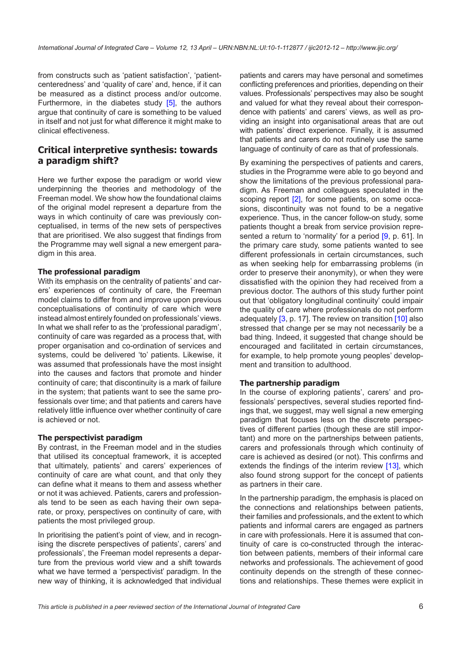from constructs such as 'patient satisfaction', 'patientcenteredness' and 'quality of care' and, hence, if it can be measured as a distinct process and/or outcome. Furthermore, in the diabetes study [\[5\],](#page-8-0) the authors argue that continuity of care is something to be valued in itself and not just for what difference it might make to clinical effectiveness.

## **Critical interpretive synthesis: towards a paradigm shift?**

Here we further expose the paradigm or world view underpinning the theories and methodology of the Freeman model. We show how the foundational claims of the original model represent a departure from the ways in which continuity of care was previously conceptualised, in terms of the new sets of perspectives that are prioritised. We also suggest that findings from the Programme may well signal a new emergent paradigm in this area.

### **The professional paradigm**

With its emphasis on the centrality of patients' and carers' experiences of continuity of care, the Freeman model claims to differ from and improve upon previous conceptualisations of continuity of care which were instead almost entirely founded on professionals' views. In what we shall refer to as the 'professional paradigm', continuity of care was regarded as a process that, with proper organisation and co-ordination of services and systems, could be delivered 'to' patients. Likewise, it was assumed that professionals have the most insight into the causes and factors that promote and hinder continuity of care; that discontinuity is a mark of failure in the system; that patients want to see the same professionals over time; and that patients and carers have relatively little influence over whether continuity of care is achieved or not.

### **The perspectivist paradigm**

By contrast, in the Freeman model and in the studies that utilised its conceptual framework, it is accepted that ultimately, patients' and carers' experiences of continuity of care are what count, and that only they can define what it means to them and assess whether or not it was achieved. Patients, carers and professionals tend to be seen as each having their own separate, or proxy, perspectives on continuity of care, with patients the most privileged group.

In prioritising the patient's point of view, and in recognising the discrete perspectives of patients', carers' and professionals', the Freeman model represents a departure from the previous world view and a shift towards what we have termed a 'perspectivist' paradigm. In the new way of thinking, it is acknowledged that individual

patients and carers may have personal and sometimes conflicting preferences and priorities, depending on their values. Professionals' perspectives may also be sought and valued for what they reveal about their correspondence with patients' and carers' views, as well as providing an insight into organisational areas that are out with patients' direct experience. Finally, it is assumed that patients and carers do not routinely use the same language of continuity of care as that of professionals.

By examining the perspectives of patients and carers, studies in the Programme were able to go beyond and show the limitations of the previous professional paradigm. As Freeman and colleagues speculated in the scoping report [\[2\],](#page-7-0) for some patients, on some occasions, discontinuity was not found to be a negative experience. Thus, in the cancer follow-on study, some patients thought a break from service provision repre-sented a return to 'normality' for a period [\[9,](#page-8-0) p. 61]. In the primary care study, some patients wanted to see different professionals in certain circumstances, such as when seeking help for embarrassing problems (in order to preserve their anonymity), or when they were dissatisfied with the opinion they had received from a previous doctor. The authors of this study further point out that 'obligatory longitudinal continuity' could impair the quality of care where professionals do not perform adequately [\[3,](#page-7-0) p. 17]. The review on transition [\[10\]](#page-8-0) also stressed that change per se may not necessarily be a bad thing. Indeed, it suggested that change should be encouraged and facilitated in certain circumstances, for example, to help promote young peoples' development and transition to adulthood.

### **The partnership paradigm**

In the course of exploring patients', carers' and professionals' perspectives, several studies reported findings that, we suggest, may well signal a new emerging paradigm that focuses less on the discrete perspectives of different parties (though these are still important) and more on the partnerships between patients, carers and professionals through which continuity of care is achieved as desired (or not). This confirms and extends the findings of the interim review [\[13\],](#page-8-0) which also found strong support for the concept of patients as partners in their care.

In the partnership paradigm, the emphasis is placed on the connections and relationships between patients, their families and professionals, and the extent to which patients and informal carers are engaged as partners in care with professionals. Here it is assumed that continuity of care is co-constructed through the interaction between patients, members of their informal care networks and professionals. The achievement of good continuity depends on the strength of these connections and relationships. These themes were explicit in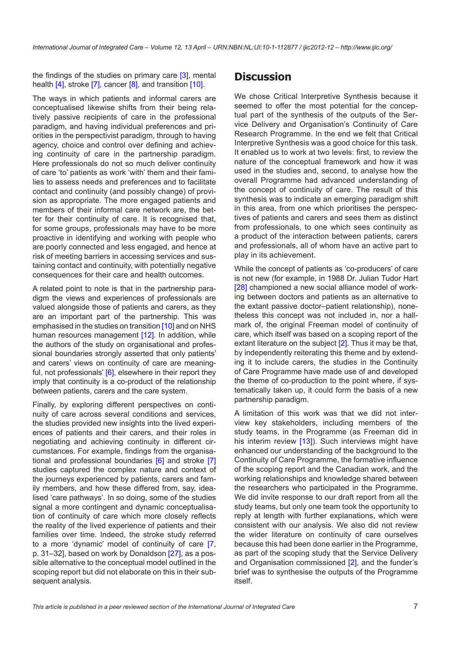the findings of the studies on primary care [\[3\]](#page-7-0), mental health [\[4\],](#page-8-0) stroke [\[7\]](#page-8-0), cancer [\[8\],](#page-8-0) and transition [\[10\].](#page-8-0)

The ways in which patients and informal carers are conceptualised likewise shifts from their being relatively passive recipients of care in the professional paradigm, and having individual preferences and priorities in the perspectivist paradigm, through to having agency, choice and control over defining and achieving continuity of care in the partnership paradigm. Here professionals do not so much deliver continuity of care 'to' patients as work 'with' them and their families to assess needs and preferences and to facilitate contact and continuity (and possibly change) of provision as appropriate. The more engaged patients and members of their informal care network are, the better for their continuity of care. It is recognised that, for some groups, professionals may have to be more proactive in identifying and working with people who are poorly connected and less engaged, and hence at risk of meeting barriers in accessing services and sustaining contact and continuity, with potentially negative consequences for their care and health outcomes.

A related point to note is that in the partnership paradigm the views and experiences of professionals are valued alongside those of patients and carers, as they are an important part of the partnership. This was emphasised in the studies on transition [\[10\]](#page-8-0) and on NHS human resources management [\[12\].](#page-8-0) In addition, while the authors of the study on organisational and professional boundaries strongly asserted that only patients' and carers' views on continuity of care are meaning-ful, not professionals' [\[6\],](#page-8-0) elsewhere in their report they imply that continuity is a co-product of the relationship between patients, carers and the care system.

Finally, by exploring different perspectives on continuity of care across several conditions and services, the studies provided new insights into the lived experiences of patients and their carers, and their roles in negotiating and achieving continuity in different circumstances. For example, findings from the organisational and professional boundaries [\[6\]](#page-8-0) and stroke [\[7\]](#page-8-0) studies captured the complex nature and context of the journeys experienced by patients, carers and family members, and how these differed from, say, idealised 'care pathways'. In so doing, some of the studies signal a more contingent and dynamic conceptualisation of continuity of care which more closely reflects the reality of the lived experience of patients and their families over time. Indeed, the stroke study referred to a more 'dynamic' model of continuity of care [\[7](#page-8-0), p. 31–32], based on work by Donaldson [\[27\]](#page-8-0), as a possible alternative to the conceptual model outlined in the scoping report but did not elaborate on this in their subsequent analysis.

## **Discussion**

We chose Critical Interpretive Synthesis because it seemed to offer the most potential for the conceptual part of the synthesis of the outputs of the Service Delivery and Organisation's Continuity of Care Research Programme. In the end we felt that Critical Interpretive Synthesis was a good choice for this task. It enabled us to work at two levels: first, to review the nature of the conceptual framework and how it was used in the studies and, second, to analyse how the overall Programme had advanced understanding of the concept of continuity of care. The result of this synthesis was to indicate an emerging paradigm shift in this area, from one which prioritises the perspectives of patients and carers and sees them as distinct from professionals, to one which sees continuity as a product of the interaction between patients, carers and professionals, all of whom have an active part to play in its achievement.

While the concept of patients as 'co-producers' of care is not new (for example, in 1988 Dr. Julian Tudor Hart [\[28\]](#page-8-0) championed a new social alliance model of working between doctors and patients as an alternative to the extant passive doctor–patient relationship), nonetheless this concept was not included in, nor a hallmark of, the original Freeman model of continuity of care, which itself was based on a scoping report of the extant literature on the subject [\[2\]](#page-7-0). Thus it may be that, by independently reiterating this theme and by extending it to include carers, the studies in the Continuity of Care Programme have made use of and developed the theme of co-production to the point where, if systematically taken up, it could form the basis of a new partnership paradigm.

A limitation of this work was that we did not interview key stakeholders, including members of the study teams, in the Programme (as Freeman did in his interim review [\[13\]](#page-8-0)). Such interviews might have enhanced our understanding of the background to the Continuity of Care Programme, the formative influence of the scoping report and the Canadian work, and the working relationships and knowledge shared between the researchers who participated in the Programme. We did invite response to our draft report from all the study teams, but only one team took the opportunity to reply at length with further explanations, which were consistent with our analysis. We also did not review the wider literature on continuity of care ourselves because this had been done earlier in the Programme, as part of the scoping study that the Service Delivery and Organisation commissioned [\[2\]](#page-7-0), and the funder's brief was to synthesise the outputs of the Programme itself.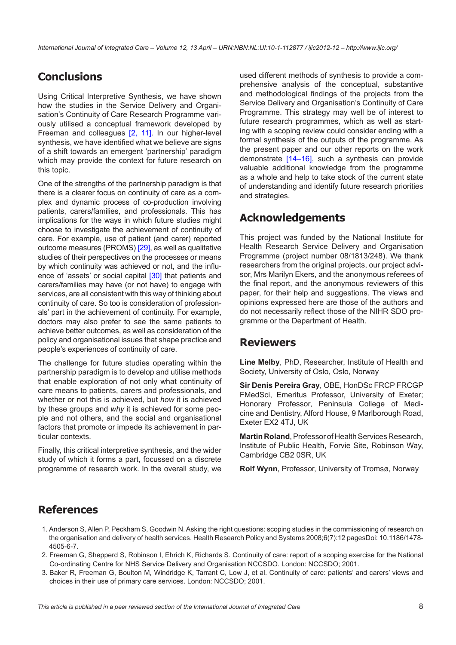## <span id="page-7-0"></span>**Conclusions**

Using Critical Interpretive Synthesis, we have shown how the studies in the Service Delivery and Organisation's Continuity of Care Research Programme variously utilised a conceptual framework developed by Freeman and colleagues [2, [11\].](#page-8-0) In our higher-level synthesis, we have identified what we believe are signs of a shift towards an emergent 'partnership' paradigm which may provide the context for future research on this topic.

One of the strengths of the partnership paradigm is that there is a clearer focus on continuity of care as a complex and dynamic process of co-production involving patients, carers/families, and professionals. This has implications for the ways in which future studies might choose to investigate the achievement of continuity of care. For example, use of patient (and carer) reported outcome measures (PROMS) [\[29\],](#page-8-0) as well as qualitative studies of their perspectives on the processes or means by which continuity was achieved or not, and the influence of 'assets' or social capital [\[30\]](#page-8-0) that patients and carers/families may have (or not have) to engage with services, are all consistent with this way of thinking about continuity of care. So too is consideration of professionals' part in the achievement of continuity. For example, doctors may also prefer to see the same patients to achieve better outcomes, as well as consideration of the policy and organisational issues that shape practice and people's experiences of continuity of care.

The challenge for future studies operating within the partnership paradigm is to develop and utilise methods that enable exploration of not only what continuity of care means to patients, carers and professionals, and whether or not this is achieved, but *how* it is achieved by these groups and *why* it is achieved for some people and not others, and the social and organisational factors that promote or impede its achievement in particular contexts.

Finally, this critical interpretive synthesis, and the wider study of which it forms a part, focussed on a discrete programme of research work. In the overall study, we

used different methods of synthesis to provide a comprehensive analysis of the conceptual, substantive and methodological findings of the projects from the Service Delivery and Organisation's Continuity of Care Programme. This strategy may well be of interest to future research programmes, which as well as starting with a scoping review could consider ending with a formal synthesis of the outputs of the programme. As the present paper and our other reports on the work demonstrate [\[14–](#page-8-0)[16\]](#page-8-0), such a synthesis can provide valuable additional knowledge from the programme as a whole and help to take stock of the current state of understanding and identify future research priorities and strategies.

## **Acknowledgements**

This project was funded by the National Institute for Health Research Service Delivery and Organisation Programme (project number 08/1813/248). We thank researchers from the original projects, our project advisor, Mrs Marilyn Ekers, and the anonymous referees of the final report, and the anonymous reviewers of this paper, for their help and suggestions. The views and opinions expressed here are those of the authors and do not necessarily reflect those of the NIHR SDO programme or the Department of Health.

## **Reviewers**

**Line Melby**, PhD, Researcher, Institute of Health and Society, University of Oslo, Oslo, Norway

**Sir Denis Pereira Gray**, OBE, HonDSc FRCP FRCGP FMedSci, Emeritus Professor, University of Exeter; Honorary Professor, Peninsula College of Medicine and Dentistry, Alford House, 9 Marlborough Road, Exeter EX2 4TJ, UK

**Martin Roland**, Professor of Health Services Research, Institute of Public Health, Forvie Site, Robinson Way, Cambridge CB2 0SR, UK

**Rolf Wynn**, Professor, University of Tromsø, Norway

## **References**

- 1. Anderson S, Allen P, Peckham S, Goodwin N. Asking the right questions: scoping studies in the commissioning of research on the organisation and delivery of health services. Health Research Policy and Systems 2008;6(7):12 pagesDoi: 10.1186/1478- 4505-6-7.
- 2. Freeman G, Shepperd S, Robinson I, Ehrich K, Richards S. Continuity of care: report of a scoping exercise for the National Co-ordinating Centre for NHS Service Delivery and Organisation NCCSDO. London: NCCSDO; 2001.
- 3. Baker R, Freeman G, Boulton M, Windridge K, Tarrant C, Low J, et al. Continuity of care: patients' and carers' views and choices in their use of primary care services. London: NCCSDO; 2001.